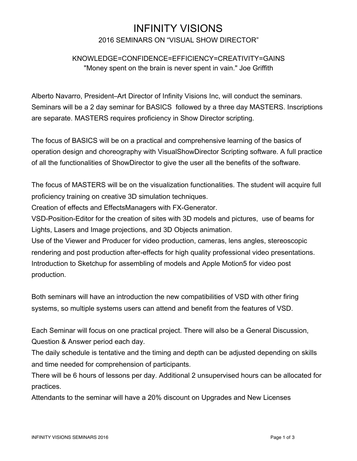# INFINITY VISIONS

### 2016 SEMINARS ON "VISUAL SHOW DIRECTOR"

# KNOWLEDGE=CONFIDENCE=EFFICIENCY=CREATIVITY=GAINS "Money spent on the brain is never spent in vain." Joe Griffith

Alberto Navarro, President–Art Director of Infinity Visions Inc, will conduct the seminars. Seminars will be a 2 day seminar for BASICS followed by a three day MASTERS. Inscriptions are separate. MASTERS requires proficiency in Show Director scripting.

The focus of BASICS will be on a practical and comprehensive learning of the basics of operation design and choreography with VisualShowDirector Scripting software. A full practice of all the functionalities of ShowDirector to give the user all the benefits of the software.

The focus of MASTERS will be on the visualization functionalities. The student will acquire full proficiency training on creative 3D simulation techniques.

Creation of effects and EffectsManagers with FX-Generator.

VSD-Position-Editor for the creation of sites with 3D models and pictures, use of beams for Lights, Lasers and Image projections, and 3D Objects animation.

Use of the Viewer and Producer for video production, cameras, lens angles, stereoscopic rendering and post production after-effects for high quality professional video presentations. Introduction to Sketchup for assembling of models and Apple Motion5 for video post production.

Both seminars will have an introduction the new compatibilities of VSD with other firing systems, so multiple systems users can attend and benefit from the features of VSD.

Each Seminar will focus on one practical project. There will also be a General Discussion, Question & Answer period each day.

The daily schedule is tentative and the timing and depth can be adjusted depending on skills and time needed for comprehension of participants.

There will be 6 hours of lessons per day. Additional 2 unsupervised hours can be allocated for practices.

Attendants to the seminar will have a 20% discount on Upgrades and New Licenses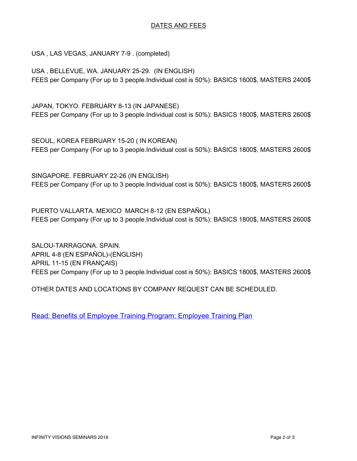#### DATES AND FEES

USA , LAS VEGAS, JANUARY 7-9 . (completed)

USA , BELLEVUE, WA. JANUARY 25-29. (IN ENGLISH) FEES per Company (For up to 3 people.Individual cost is 50%): BASICS 1600\$, MASTERS 2400\$

JAPAN, TOKYO. FEBRUARY 8-13 (IN JAPANESE) FEES per Company (For up to 3 people.Individual cost is 50%): BASICS 1800\$, MASTERS 2600\$

SEOUL, KOREA FEBRUARY 15-20 ( IN KOREAN) FEES per Company (For up to 3 people.Individual cost is 50%): BASICS 1800\$, MASTERS 2600\$

SINGAPORE. FEBRUARY 22-26 (IN ENGLISH) FEES per Company (For up to 3 people.Individual cost is 50%): BASICS 1800\$, MASTERS 2600\$

PUERTO VALLARTA. MEXICO MARCH 8-12 (EN ESPAÑOL) FEES per Company (For up to 3 people.Individual cost is 50%): BASICS 1800\$, MASTERS 2600\$

SALOU-TARRAGONA. SPAIN. APRIL 4-8 (EN ESPAÑOL)-(ENGLISH) APRIL 11-15 (EN FRANÇAIS) FEES per Company (For up to 3 people.Individual cost is 50%): BASICS 1800\$, MASTERS 2600\$

OTHER DATES AND LOCATIONS BY COMPANY REQUEST CAN BE SCHEDULED.

[Read: Benefits of Employee Training Program: Employee Training Plan](http://www.morebusiness.com/running_your_business/management/d1023665813.brc)